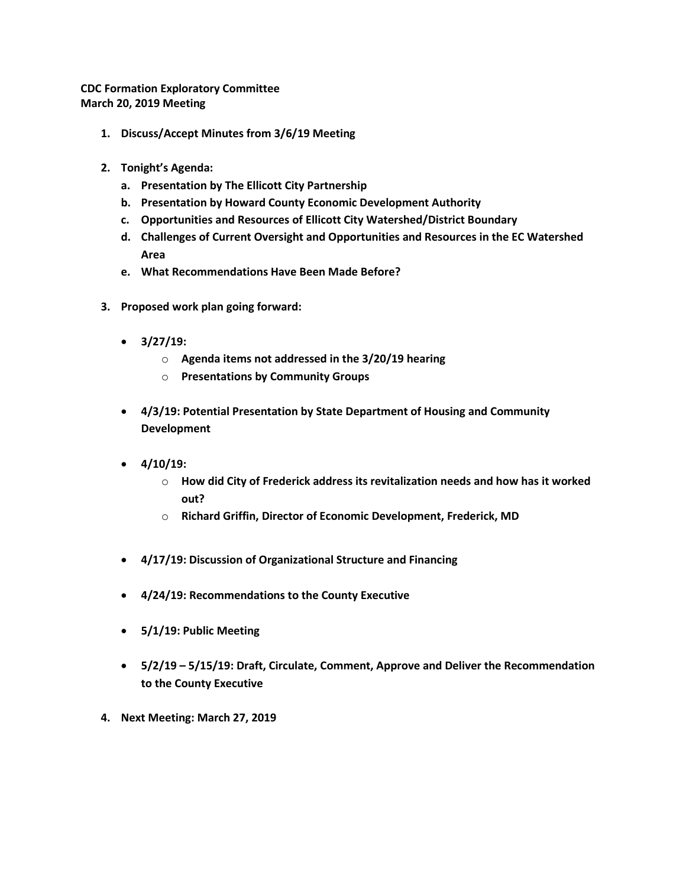**CDC Formation Exploratory Committee March 20, 2019 Meeting**

- **1. Discuss/Accept Minutes from 3/6/19 Meeting**
- **2. Tonight's Agenda:**
	- **a. Presentation by The Ellicott City Partnership**
	- **b. Presentation by Howard County Economic Development Authority**
	- **c. Opportunities and Resources of Ellicott City Watershed/District Boundary**
	- **d. Challenges of Current Oversight and Opportunities and Resources in the EC Watershed Area**
	- **e. What Recommendations Have Been Made Before?**
- **3. Proposed work plan going forward:**
	- **3/27/19:** 
		- o **Agenda items not addressed in the 3/20/19 hearing**
		- o **Presentations by Community Groups**
	- **4/3/19: Potential Presentation by State Department of Housing and Community Development**
	- **4/10/19:** 
		- o **How did City of Frederick address its revitalization needs and how has it worked out?**
		- o **Richard Griffin, Director of Economic Development, Frederick, MD**
	- **4/17/19: Discussion of Organizational Structure and Financing**
	- **4/24/19: Recommendations to the County Executive**
	- **5/1/19: Public Meeting**
	- **5/2/19 – 5/15/19: Draft, Circulate, Comment, Approve and Deliver the Recommendation to the County Executive**
- **4. Next Meeting: March 27, 2019**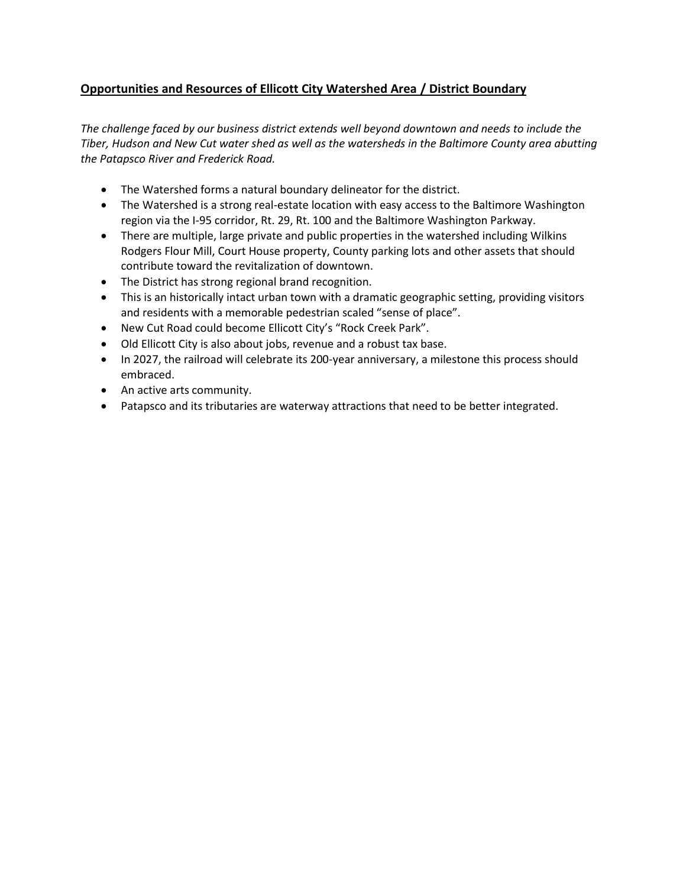## **Opportunities and Resources of Ellicott City Watershed Area / District Boundary**

*The challenge faced by our business district extends well beyond downtown and needs to include the Tiber, Hudson and New Cut water shed as well as the watersheds in the Baltimore County area abutting the Patapsco River and Frederick Road.*

- The Watershed forms a natural boundary delineator for the district.
- The Watershed is a strong real-estate location with easy access to the Baltimore Washington region via the I-95 corridor, Rt. 29, Rt. 100 and the Baltimore Washington Parkway.
- There are multiple, large private and public properties in the watershed including Wilkins Rodgers Flour Mill, Court House property, County parking lots and other assets that should contribute toward the revitalization of downtown.
- The District has strong regional brand recognition.
- This is an historically intact urban town with a dramatic geographic setting, providing visitors and residents with a memorable pedestrian scaled "sense of place".
- New Cut Road could become Ellicott City's "Rock Creek Park".
- Old Ellicott City is also about jobs, revenue and a robust tax base.
- In 2027, the railroad will celebrate its 200-year anniversary, a milestone this process should embraced.
- An active arts community.
- Patapsco and its tributaries are waterway attractions that need to be better integrated.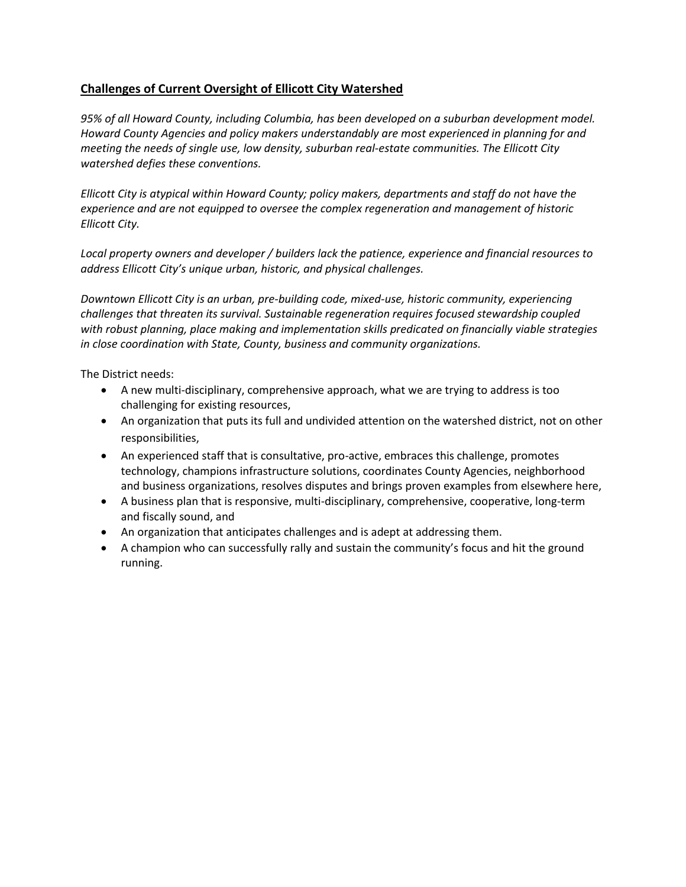## **Challenges of Current Oversight of Ellicott City Watershed**

*95% of all Howard County, including Columbia, has been developed on a suburban development model. Howard County Agencies and policy makers understandably are most experienced in planning for and meeting the needs of single use, low density, suburban real-estate communities. The Ellicott City watershed defies these conventions.*

*Ellicott City is atypical within Howard County; policy makers, departments and staff do not have the experience and are not equipped to oversee the complex regeneration and management of historic Ellicott City.*

*Local property owners and developer / builders lack the patience, experience and financial resources to address Ellicott City's unique urban, historic, and physical challenges.*

*Downtown Ellicott City is an urban, pre-building code, mixed-use, historic community, experiencing challenges that threaten its survival. Sustainable regeneration requires focused stewardship coupled with robust planning, place making and implementation skills predicated on financially viable strategies in close coordination with State, County, business and community organizations.*

The District needs:

- A new multi-disciplinary, comprehensive approach, what we are trying to address is too challenging for existing resources,
- An organization that puts its full and undivided attention on the watershed district, not on other responsibilities,
- An experienced staff that is consultative, pro-active, embraces this challenge, promotes technology, champions infrastructure solutions, coordinates County Agencies, neighborhood and business organizations, resolves disputes and brings proven examples from elsewhere here,
- A business plan that is responsive, multi-disciplinary, comprehensive, cooperative, long-term and fiscally sound, and
- An organization that anticipates challenges and is adept at addressing them.
- A champion who can successfully rally and sustain the community's focus and hit the ground running.